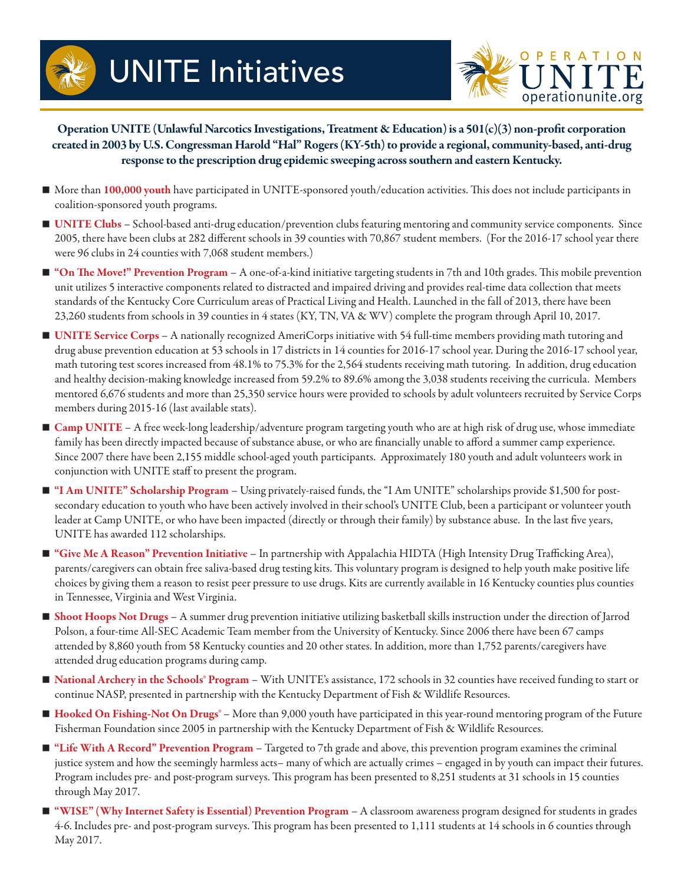



Operation UNITE (Unlawful Narcotics Investigations, Treatment & Education) is a 501(c)(3) non-profit corporation created in 2003 by U.S. Congressman Harold "Hal" Rogers (KY-5th) to provide a regional, community-based, anti-drug response to the prescription drug epidemic sweeping across southern and eastern Kentucky.

- More than 100,000 youth have participated in UNITE-sponsored youth/education activities. This does not include participants in coalition-sponsored youth programs.
- UNITE Clubs School-based anti-drug education/prevention clubs featuring mentoring and community service components. Since 2005, there have been clubs at 282 different schools in 39 counties with 70,867 student members. (For the 2016-17 school year there were 96 clubs in 24 counties with 7,068 student members.)
- **T** "On The Move!" Prevention Program A one-of-a-kind initiative targeting students in 7th and 10th grades. This mobile prevention unit utilizes 5 interactive components related to distracted and impaired driving and provides real-time data collection that meets standards of the Kentucky Core Curriculum areas of Practical Living and Health. Launched in the fall of 2013, there have been 23,260 students from schools in 39 counties in 4 states (KY, TN, VA & WV) complete the program through April 10, 2017.
- UNITE Service Corps A nationally recognized AmeriCorps initiative with 54 full-time members providing math tutoring and drug abuse prevention education at 53 schools in 17 districts in 14 counties for 2016-17 school year. During the 2016-17 school year, math tutoring test scores increased from 48.1% to 75.3% for the 2,564 students receiving math tutoring. In addition, drug education and healthy decision-making knowledge increased from 59.2% to 89.6% among the 3,038 students receiving the curricula. Members mentored 6,676 students and more than 25,350 service hours were provided to schools by adult volunteers recruited by Service Corps members during 2015-16 (last available stats).
- Camp UNITE A free week-long leadership/adventure program targeting youth who are at high risk of drug use, whose immediate family has been directly impacted because of substance abuse, or who are financially unable to afford a summer camp experience. Since 2007 there have been 2,155 middle school-aged youth participants. Approximately 180 youth and adult volunteers work in conjunction with UNITE staff to present the program.
- "I Am UNITE" Scholarship Program Using privately-raised funds, the "I Am UNITE" scholarships provide \$1,500 for postsecondary education to youth who have been actively involved in their school's UNITE Club, been a participant or volunteer youth leader at Camp UNITE, or who have been impacted (directly or through their family) by substance abuse. In the last five years, UNITE has awarded 112 scholarships.
- "Give Me A Reason" Prevention Initiative In partnership with Appalachia HIDTA (High Intensity Drug Trafficking Area), parents/caregivers can obtain free saliva-based drug testing kits. This voluntary program is designed to help youth make positive life choices by giving them a reason to resist peer pressure to use drugs. Kits are currently available in 16 Kentucky counties plus counties in Tennessee, Virginia and West Virginia.
- **Shoot Hoops Not Drugs** A summer drug prevention initiative utilizing basketball skills instruction under the direction of Jarrod Polson, a four-time All-SEC Academic Team member from the University of Kentucky. Since 2006 there have been 67 camps attended by 8,860 youth from 58 Kentucky counties and 20 other states. In addition, more than 1,752 parents/caregivers have attended drug education programs during camp.
- National Archery in the Schools® Program With UNITE's assistance, 172 schools in 32 counties have received funding to start or continue NASP, presented in partnership with the Kentucky Department of Fish & Wildlife Resources.
- Hooked On Fishing-Not On Drugs<sup>®</sup> More than 9,000 youth have participated in this year-round mentoring program of the Future Fisherman Foundation since 2005 in partnership with the Kentucky Department of Fish & Wildlife Resources.
- "Life With A Record" Prevention Program Targeted to 7th grade and above, this prevention program examines the criminal justice system and how the seemingly harmless acts– many of which are actually crimes – engaged in by youth can impact their futures. Program includes pre- and post-program surveys. This program has been presented to 8,251 students at 31 schools in 15 counties through May 2017.
- "WISE" (Why Internet Safety is Essential) Prevention Program A classroom awareness program designed for students in grades 4-6. Includes pre- and post-program surveys. This program has been presented to 1,111 students at 14 schools in 6 counties through May 2017.